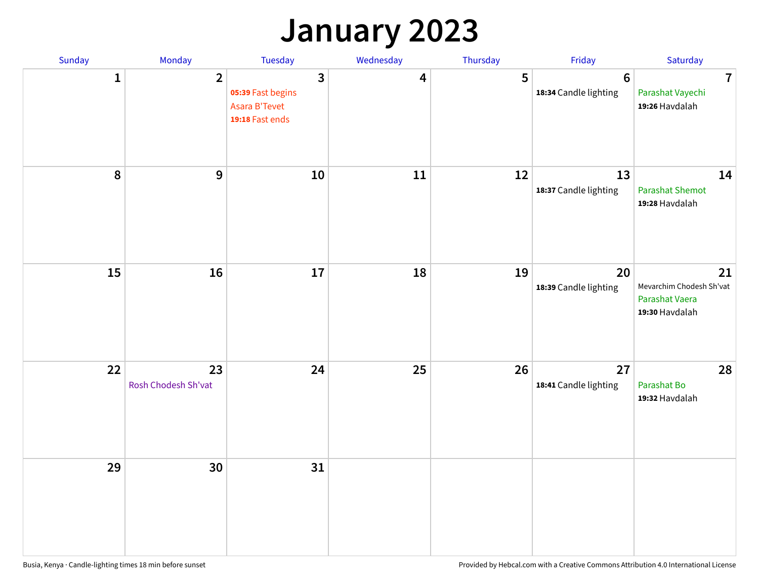## **January 2023**

| Sunday       | Monday                    | Tuesday                                                                 | Wednesday | Thursday | Friday                                  | Saturday                                                           |
|--------------|---------------------------|-------------------------------------------------------------------------|-----------|----------|-----------------------------------------|--------------------------------------------------------------------|
| $\mathbf{1}$ | $\overline{2}$            | $\overline{3}$<br>05:39 Fast begins<br>Asara B'Tevet<br>19:18 Fast ends | 4         | 5        | $6\phantom{1}$<br>18:34 Candle lighting | $\overline{7}$<br>Parashat Vayechi<br>19:26 Havdalah               |
| $\pmb{8}$    | $\mathbf{9}$              | 10                                                                      | 11        | 12       | 13<br>18:37 Candle lighting             | 14<br><b>Parashat Shemot</b><br>19:28 Havdalah                     |
| 15           | 16                        | 17                                                                      | 18        | 19       | 20<br>18:39 Candle lighting             | 21<br>Mevarchim Chodesh Sh'vat<br>Parashat Vaera<br>19:30 Havdalah |
| 22           | 23<br>Rosh Chodesh Sh'vat | 24                                                                      | 25        | 26       | 27<br>18:41 Candle lighting             | 28<br>Parashat Bo<br>19:32 Havdalah                                |
| 29           | 30                        | 31                                                                      |           |          |                                         |                                                                    |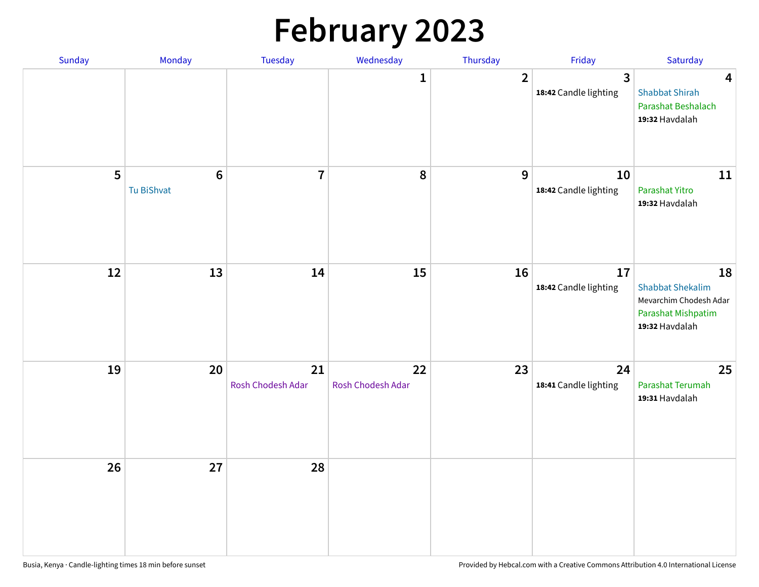# **February 2023**

| Sunday | Monday                        | Tuesday                 | Wednesday               | Thursday       | Friday                                  | Saturday                                                                                        |
|--------|-------------------------------|-------------------------|-------------------------|----------------|-----------------------------------------|-------------------------------------------------------------------------------------------------|
|        |                               |                         | 1                       | $\overline{2}$ | $\overline{3}$<br>18:42 Candle lighting | $\overline{\mathbf{4}}$<br><b>Shabbat Shirah</b><br>Parashat Beshalach<br>19:32 Havdalah        |
| 5      | $6\phantom{1}6$<br>Tu BiShvat | $\overline{7}$          | 8                       | 9              | 10<br>18:42 Candle lighting             | 11<br>Parashat Yitro<br>19:32 Havdalah                                                          |
| 12     | 13                            | 14                      | 15                      | 16             | 17<br>18:42 Candle lighting             | 18<br><b>Shabbat Shekalim</b><br>Mevarchim Chodesh Adar<br>Parashat Mishpatim<br>19:32 Havdalah |
| 19     | 20                            | 21<br>Rosh Chodesh Adar | 22<br>Rosh Chodesh Adar | 23             | 24<br>18:41 Candle lighting             | 25<br>Parashat Terumah<br>19:31 Havdalah                                                        |
| 26     | 27                            | 28                      |                         |                |                                         |                                                                                                 |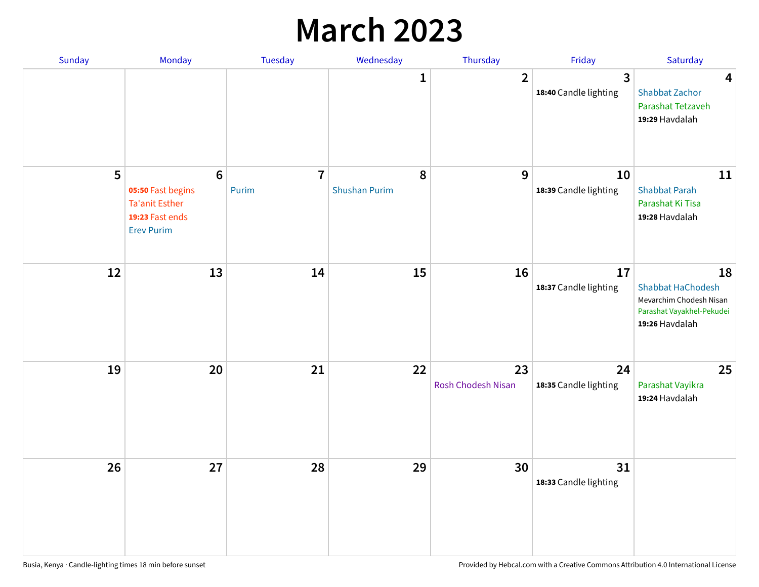## **March 2023**

| Sunday | Monday                                                                                                | Tuesday                 | Wednesday                 | Thursday                 | Friday                      | Saturday                                                                                                 |
|--------|-------------------------------------------------------------------------------------------------------|-------------------------|---------------------------|--------------------------|-----------------------------|----------------------------------------------------------------------------------------------------------|
|        |                                                                                                       |                         | 1                         | $\overline{2}$           | 3<br>18:40 Candle lighting  | $\overline{\mathbf{4}}$<br><b>Shabbat Zachor</b><br>Parashat Tetzaveh<br>19:29 Havdalah                  |
| 5      | $6\phantom{1}6$<br>05:50 Fast begins<br><b>Ta'anit Esther</b><br>19:23 Fast ends<br><b>Erev Purim</b> | $\overline{7}$<br>Purim | 8<br><b>Shushan Purim</b> | 9                        | 10<br>18:39 Candle lighting | 11<br><b>Shabbat Parah</b><br>Parashat Ki Tisa<br>19:28 Havdalah                                         |
| 12     | 13                                                                                                    | 14                      | 15                        | 16                       | 17<br>18:37 Candle lighting | 18<br><b>Shabbat HaChodesh</b><br>Mevarchim Chodesh Nisan<br>Parashat Vayakhel-Pekudei<br>19:26 Havdalah |
| 19     | 20                                                                                                    | 21                      | 22                        | 23<br>Rosh Chodesh Nisan | 24<br>18:35 Candle lighting | 25<br>Parashat Vayikra<br>19:24 Havdalah                                                                 |
| 26     | 27                                                                                                    | 28                      | 29                        | 30                       | 31<br>18:33 Candle lighting |                                                                                                          |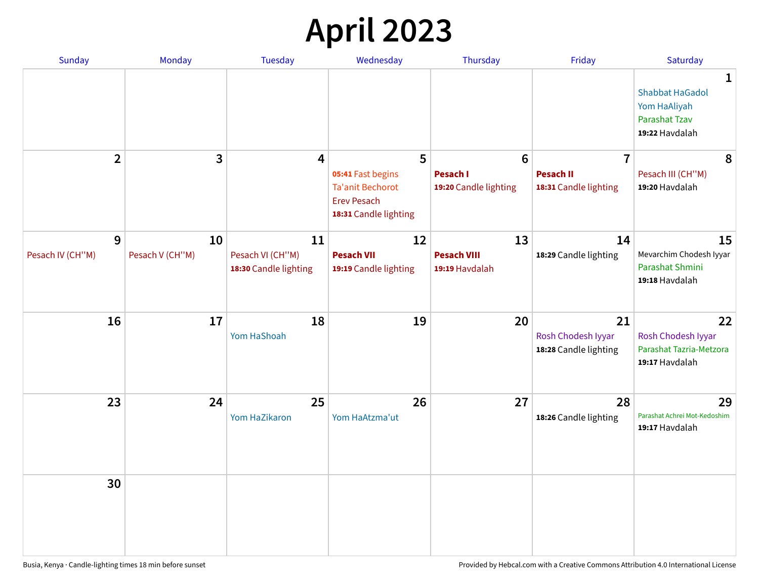# **April 2023**

| Sunday                | Monday                | <b>Tuesday</b>                                  | Wednesday                                                                                   | Thursday                                   | Friday                                            | Saturday                                                                              |
|-----------------------|-----------------------|-------------------------------------------------|---------------------------------------------------------------------------------------------|--------------------------------------------|---------------------------------------------------|---------------------------------------------------------------------------------------|
|                       |                       |                                                 |                                                                                             |                                            |                                                   | 1<br><b>Shabbat HaGadol</b><br>Yom HaAliyah<br><b>Parashat Tzav</b><br>19:22 Havdalah |
| $\overline{2}$        | 3                     | 4                                               | 5                                                                                           | $6\phantom{1}6$                            | $\overline{7}$                                    | 8                                                                                     |
|                       |                       |                                                 | 05:41 Fast begins<br><b>Ta'anit Bechorot</b><br><b>Erev Pesach</b><br>18:31 Candle lighting | <b>Pesach I</b><br>19:20 Candle lighting   | <b>Pesach II</b><br>18:31 Candle lighting         | Pesach III (CH"M)<br>19:20 Havdalah                                                   |
| 9<br>Pesach IV (CH"M) | 10<br>Pesach V (CH"M) | 11<br>Pesach VI (CH"M)<br>18:30 Candle lighting | 12<br><b>Pesach VII</b><br>19:19 Candle lighting                                            | 13<br><b>Pesach VIII</b><br>19:19 Havdalah | 14<br>18:29 Candle lighting                       | 15<br>Mevarchim Chodesh Iyyar<br>Parashat Shmini<br>19:18 Havdalah                    |
|                       |                       |                                                 |                                                                                             |                                            |                                                   |                                                                                       |
| 16                    | 17                    | 18<br>Yom HaShoah                               | 19                                                                                          | 20                                         | 21<br>Rosh Chodesh Iyyar<br>18:28 Candle lighting | 22<br>Rosh Chodesh Iyyar<br>Parashat Tazria-Metzora<br>19:17 Havdalah                 |
| 23                    | 24                    | 25<br>Yom HaZikaron                             | 26<br>Yom HaAtzma'ut                                                                        | 27                                         | 28<br>18:26 Candle lighting                       | 29<br>Parashat Achrei Mot-Kedoshim<br>19:17 Havdalah                                  |
| 30                    |                       |                                                 |                                                                                             |                                            |                                                   |                                                                                       |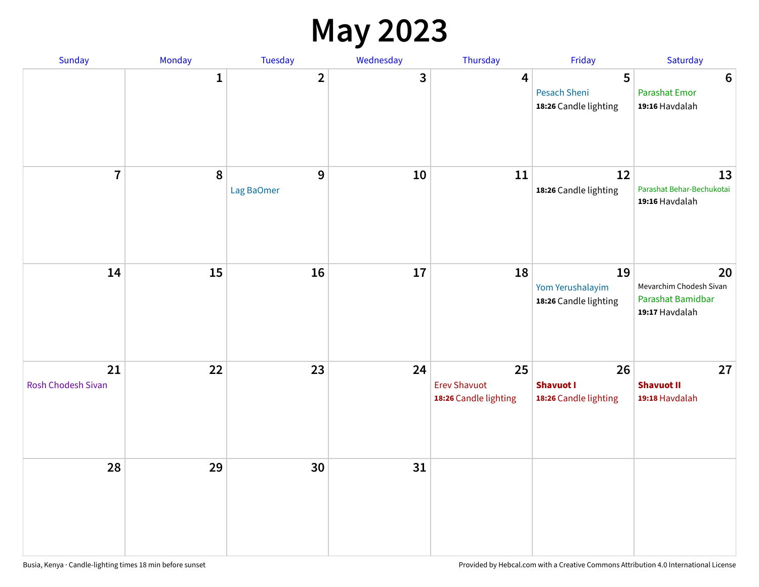#### **May 2023**

| <b>Sunday</b>                   | Monday       | Tuesday         | Wednesday | Thursday                                           | Friday                                          | Saturday                                                             |
|---------------------------------|--------------|-----------------|-----------|----------------------------------------------------|-------------------------------------------------|----------------------------------------------------------------------|
|                                 | $\mathbf{1}$ | $\mathbf{2}$    | 3         | 4                                                  | 5<br>Pesach Sheni<br>18:26 Candle lighting      | $\bf 6$<br><b>Parashat Emor</b><br>19:16 Havdalah                    |
| $\overline{7}$                  | $\pmb{8}$    | 9<br>Lag BaOmer | 10        | 11                                                 | 12<br>18:26 Candle lighting                     | 13<br>Parashat Behar-Bechukotai<br>19:16 Havdalah                    |
| 14                              | 15           | 16              | 17        | 18                                                 | 19<br>Yom Yerushalayim<br>18:26 Candle lighting | 20<br>Mevarchim Chodesh Sivan<br>Parashat Bamidbar<br>19:17 Havdalah |
| 21<br><b>Rosh Chodesh Sivan</b> | 22           | 23              | 24        | 25<br><b>Erev Shavuot</b><br>18:26 Candle lighting | 26<br><b>Shavuot I</b><br>18:26 Candle lighting | 27<br><b>Shavuot II</b><br>19:18 Havdalah                            |
| 28                              | 29           | 30              | 31        |                                                    |                                                 |                                                                      |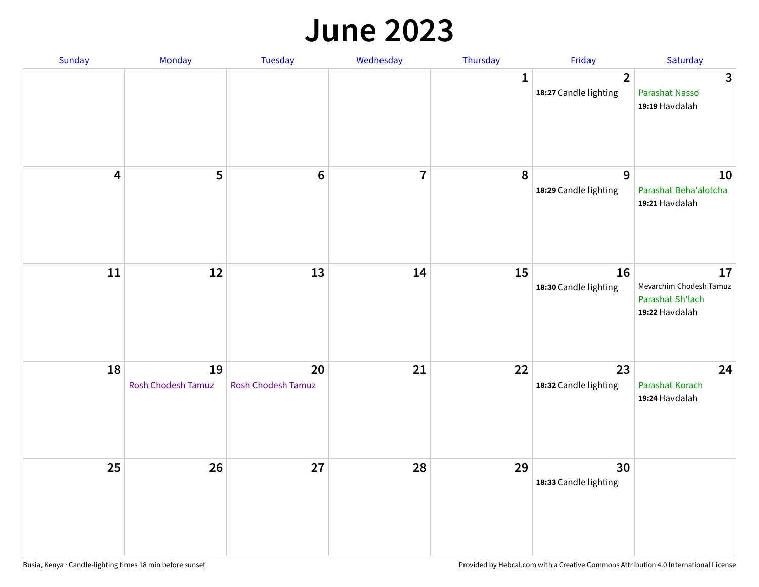#### **June 2023**

| Sunday                  | Monday                   | Tuesday                         | Wednesday      | Thursday | Friday                                  | Saturday                                                            |
|-------------------------|--------------------------|---------------------------------|----------------|----------|-----------------------------------------|---------------------------------------------------------------------|
|                         |                          |                                 |                | 1        | $\overline{2}$<br>18:27 Candle lighting | $\mathbf{3}$<br>Parashat Nasso<br>19:19 Havdalah                    |
| $\overline{\mathbf{4}}$ | 5                        | $6\phantom{1}6$                 | $\overline{7}$ | 8        | $\overline{9}$<br>18:29 Candle lighting | 10<br>Parashat Beha'alotcha<br>19:21 Havdalah                       |
| ${\bf 11}$              | $12\,$                   | 13                              | 14             | 15       | 16<br>18:30 Candle lighting             | 17<br>Mevarchim Chodesh Tamuz<br>Parashat Sh'lach<br>19:22 Havdalah |
| 18                      | 19<br>Rosh Chodesh Tamuz | 20<br><b>Rosh Chodesh Tamuz</b> | 21             | 22       | 23<br>18:32 Candle lighting             | 24<br>Parashat Korach<br>19:24 Havdalah                             |
| 25                      | 26                       | 27                              | 28             | 29       | 30<br>18:33 Candle lighting             |                                                                     |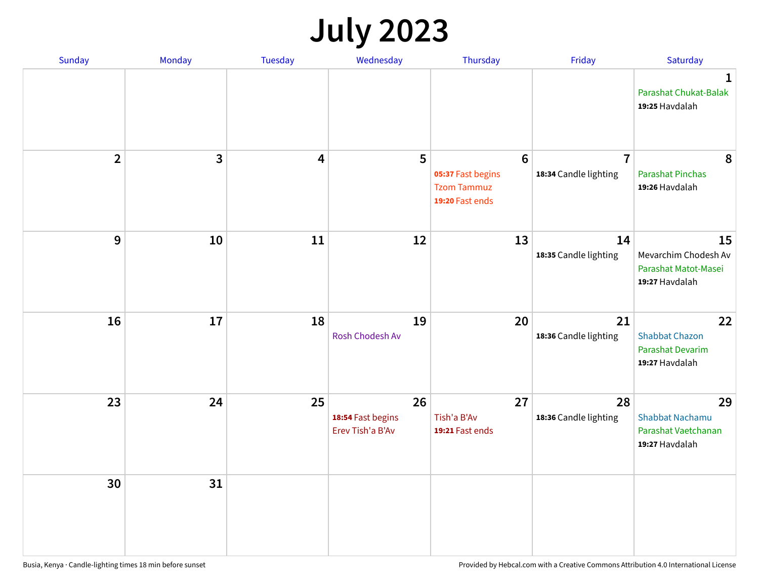# **July 2023**

| Sunday                  | Monday       | <b>Tuesday</b>          | Wednesday                                   | Thursday                                                                      | Friday                                  | Saturday                                                              |
|-------------------------|--------------|-------------------------|---------------------------------------------|-------------------------------------------------------------------------------|-----------------------------------------|-----------------------------------------------------------------------|
|                         |              |                         |                                             |                                                                               |                                         | $\mathbf 1$<br>Parashat Chukat-Balak<br>19:25 Havdalah                |
| $\overline{\mathbf{2}}$ | $\mathbf{3}$ | $\overline{\mathbf{4}}$ | 5                                           | $6\phantom{1}6$<br>05:37 Fast begins<br><b>Tzom Tammuz</b><br>19:20 Fast ends | $\overline{7}$<br>18:34 Candle lighting | 8<br><b>Parashat Pinchas</b><br>19:26 Havdalah                        |
| 9                       | 10           | 11                      | 12                                          | 13                                                                            | 14<br>18:35 Candle lighting             | 15<br>Mevarchim Chodesh Av<br>Parashat Matot-Masei<br>19:27 Havdalah  |
| 16                      | 17           | 18                      | 19<br>Rosh Chodesh Av                       | 20                                                                            | 21<br>18:36 Candle lighting             | 22<br><b>Shabbat Chazon</b><br>Parashat Devarim<br>19:27 Havdalah     |
| 23                      | 24           | 25                      | 26<br>18:54 Fast begins<br>Erev Tish'a B'Av | 27<br>Tish'a B'Av<br>19:21 Fast ends                                          | 28<br>18:36 Candle lighting             | 29<br><b>Shabbat Nachamu</b><br>Parashat Vaetchanan<br>19:27 Havdalah |
| 30                      | 31           |                         |                                             |                                                                               |                                         |                                                                       |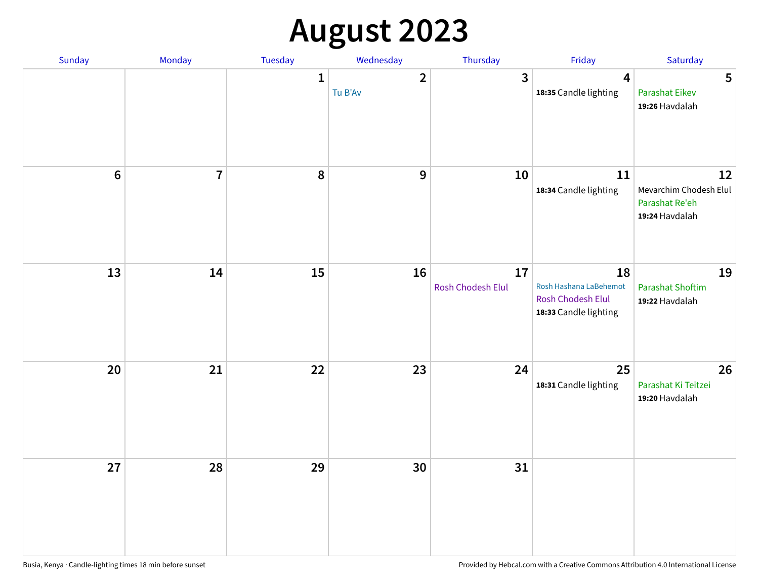# **August 2023**

| Sunday           | Monday         | Tuesday      | Wednesday                 | Thursday                | Friday                                                                            | Saturday                                                         |
|------------------|----------------|--------------|---------------------------|-------------------------|-----------------------------------------------------------------------------------|------------------------------------------------------------------|
|                  |                | $\mathbf{1}$ | $\overline{2}$<br>Tu B'Av | $\mathbf{3}$            | $\overline{\mathbf{4}}$<br>18:35 Candle lighting                                  | 5<br>Parashat Eikev<br>19:26 Havdalah                            |
| $\boldsymbol{6}$ | $\overline{7}$ | 8            | $\boldsymbol{9}$          | 10                      | 11<br>18:34 Candle lighting                                                       | 12<br>Mevarchim Chodesh Elul<br>Parashat Re'eh<br>19:24 Havdalah |
| 13               | 14             | 15           | 16                        | 17<br>Rosh Chodesh Elul | 18<br>Rosh Hashana LaBehemot<br><b>Rosh Chodesh Elul</b><br>18:33 Candle lighting | 19<br><b>Parashat Shoftim</b><br>19:22 Havdalah                  |
| 20               | 21             | 22           | 23                        | 24                      | 25<br>18:31 Candle lighting                                                       | 26<br>Parashat Ki Teitzei<br>19:20 Havdalah                      |
| 27               | 28             | 29           | 30                        | 31                      |                                                                                   |                                                                  |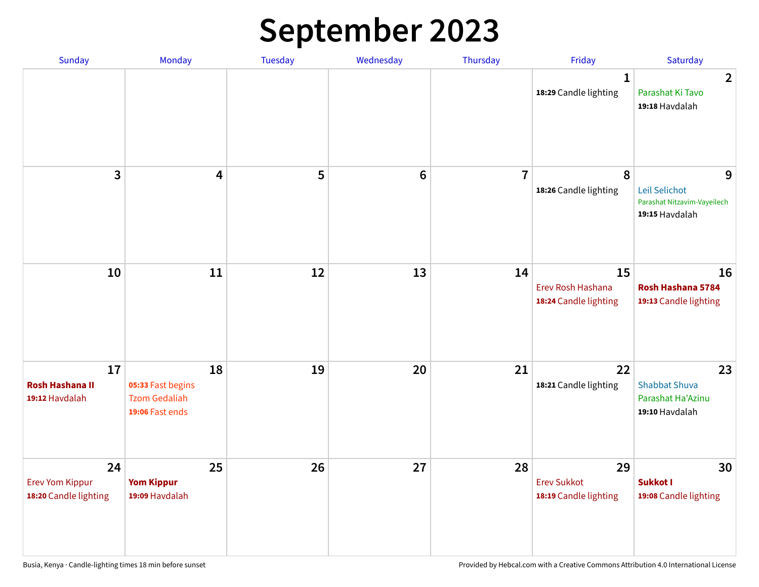# **September 2023**

| Sunday                                                | Monday                                                             | <b>Tuesday</b> | Wednesday       | Thursday       | Friday                                            | Saturday                                                            |
|-------------------------------------------------------|--------------------------------------------------------------------|----------------|-----------------|----------------|---------------------------------------------------|---------------------------------------------------------------------|
|                                                       |                                                                    |                |                 |                | 1<br>18:29 Candle lighting                        | $\overline{2}$<br>Parashat Ki Tavo<br>19:18 Havdalah                |
| $\overline{\mathbf{3}}$                               | $\overline{\mathbf{4}}$                                            | 5              | $6\phantom{1}6$ | $\overline{7}$ | 8<br>18:26 Candle lighting                        | 9<br>Leil Selichot<br>Parashat Nitzavim-Vayeilech<br>19:15 Havdalah |
| 10                                                    | 11                                                                 | 12             | 13              | 14             | 15<br>Erev Rosh Hashana<br>18:24 Candle lighting  | 16<br>Rosh Hashana 5784<br>19:13 Candle lighting                    |
| 17<br><b>Rosh Hashana II</b><br>19:12 Havdalah        | 18<br>05:33 Fast begins<br><b>Tzom Gedaliah</b><br>19:06 Fast ends | 19             | 20              | 21             | 22<br>18:21 Candle lighting                       | 23<br><b>Shabbat Shuva</b><br>Parashat Ha'Azinu<br>19:10 Havdalah   |
| 24<br><b>Erev Yom Kippur</b><br>18:20 Candle lighting | 25<br><b>Yom Kippur</b><br>19:09 Havdalah                          | 26             | 27              | 28             | 29<br><b>Erev Sukkot</b><br>18:19 Candle lighting | 30<br>Sukkot I<br>19:08 Candle lighting                             |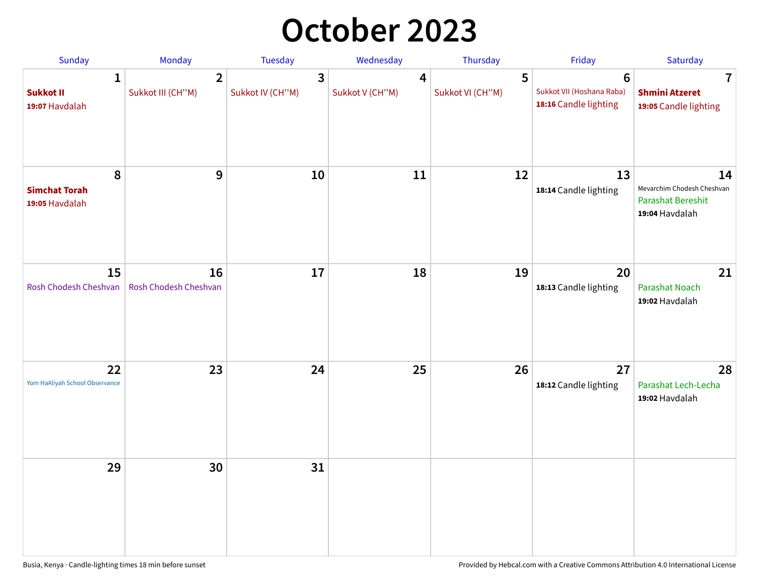## **October 2023**

| Sunday                                             | <b>Monday</b>                       | <b>Tuesday</b>        | Wednesday            | Thursday              | Friday                                                               | Saturday                                                                       |
|----------------------------------------------------|-------------------------------------|-----------------------|----------------------|-----------------------|----------------------------------------------------------------------|--------------------------------------------------------------------------------|
| $\mathbf{1}$<br><b>Sukkot II</b><br>19:07 Havdalah | $\overline{2}$<br>Sukkot III (CH"M) | 3<br>Sukkot IV (CH"M) | 4<br>Sukkot V (CH"M) | 5<br>Sukkot VI (CH"M) | $6\phantom{1}$<br>Sukkot VII (Hoshana Raba)<br>18:16 Candle lighting | 7<br><b>Shmini Atzeret</b><br>19:05 Candle lighting                            |
| 8<br><b>Simchat Torah</b><br>19:05 Havdalah        | $\boldsymbol{9}$                    | 10                    | 11                   | 12                    | 13<br>18:14 Candle lighting                                          | 14<br>Mevarchim Chodesh Cheshvan<br><b>Parashat Bereshit</b><br>19:04 Havdalah |
| 15<br>Rosh Chodesh Cheshvan                        | 16<br>Rosh Chodesh Cheshvan         | 17                    | 18                   | 19                    | 20<br>18:13 Candle lighting                                          | 21<br>Parashat Noach<br>19:02 Havdalah                                         |
| 22<br>Yom HaAliyah School Observance               | 23                                  | 24                    | 25                   | 26                    | 27<br>18:12 Candle lighting                                          | 28<br>Parashat Lech-Lecha<br>19:02 Havdalah                                    |
| 29                                                 | 30                                  | 31                    |                      |                       |                                                                      |                                                                                |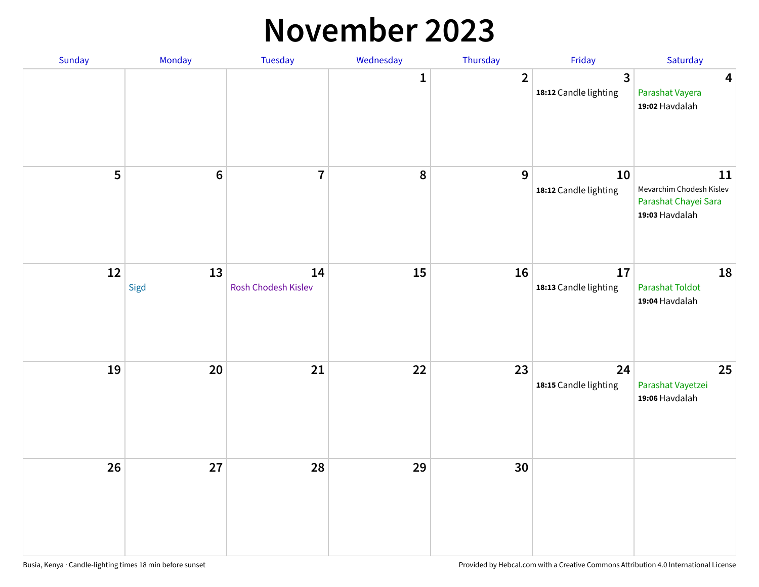#### **November 2023**

| Sunday | Monday         | Tuesday                   | Wednesday    | Thursday       | Friday                                  | Saturday                                                                 |
|--------|----------------|---------------------------|--------------|----------------|-----------------------------------------|--------------------------------------------------------------------------|
|        |                |                           | $\mathbf{1}$ | $\overline{2}$ | $\overline{3}$<br>18:12 Candle lighting | $\overline{\mathbf{4}}$<br>Parashat Vayera<br>19:02 Havdalah             |
| 5      | $6\phantom{a}$ | $\overline{7}$            | 8            | $\mathbf{9}$   | 10<br>18:12 Candle lighting             | 11<br>Mevarchim Chodesh Kislev<br>Parashat Chayei Sara<br>19:03 Havdalah |
| 12     | 13<br>Sigd     | 14<br>Rosh Chodesh Kislev | 15           | 16             | 17<br>18:13 Candle lighting             | 18<br><b>Parashat Toldot</b><br>19:04 Havdalah                           |
| 19     | 20             | 21                        | 22           | 23             | 24<br>18:15 Candle lighting             | 25<br>Parashat Vayetzei<br>19:06 Havdalah                                |
| 26     | 27             | 28                        | 29           | 30             |                                         |                                                                          |